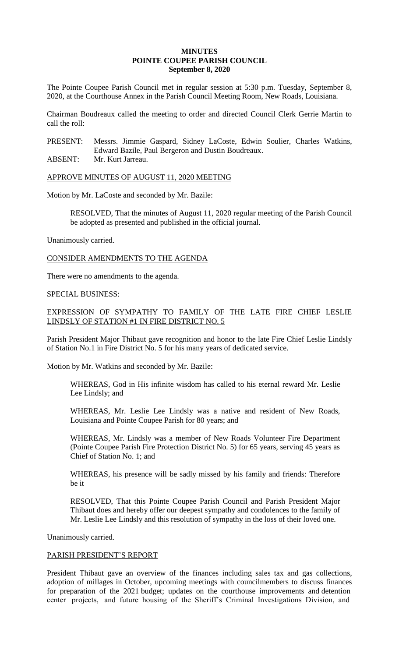## **MINUTES POINTE COUPEE PARISH COUNCIL September 8, 2020**

The Pointe Coupee Parish Council met in regular session at 5:30 p.m. Tuesday, September 8, 2020, at the Courthouse Annex in the Parish Council Meeting Room, New Roads, Louisiana.

Chairman Boudreaux called the meeting to order and directed Council Clerk Gerrie Martin to call the roll:

PRESENT: Messrs. Jimmie Gaspard, Sidney LaCoste, Edwin Soulier, Charles Watkins, Edward Bazile, Paul Bergeron and Dustin Boudreaux.

ABSENT: Mr. Kurt Jarreau.

APPROVE MINUTES OF AUGUST 11, 2020 MEETING

Motion by Mr. LaCoste and seconded by Mr. Bazile:

RESOLVED, That the minutes of August 11, 2020 regular meeting of the Parish Council be adopted as presented and published in the official journal.

Unanimously carried.

CONSIDER AMENDMENTS TO THE AGENDA

There were no amendments to the agenda.

### SPECIAL BUSINESS:

# EXPRESSION OF SYMPATHY TO FAMILY OF THE LATE FIRE CHIEF LESLIE LINDSLY OF STATION #1 IN FIRE DISTRICT NO. 5

Parish President Major Thibaut gave recognition and honor to the late Fire Chief Leslie Lindsly of Station No.1 in Fire District No. 5 for his many years of dedicated service.

Motion by Mr. Watkins and seconded by Mr. Bazile:

WHEREAS, God in His infinite wisdom has called to his eternal reward Mr. Leslie Lee Lindsly; and

WHEREAS, Mr. Leslie Lee Lindsly was a native and resident of New Roads, Louisiana and Pointe Coupee Parish for 80 years; and

WHEREAS, Mr. Lindsly was a member of New Roads Volunteer Fire Department (Pointe Coupee Parish Fire Protection District No. 5) for 65 years, serving 45 years as Chief of Station No. 1; and

WHEREAS, his presence will be sadly missed by his family and friends: Therefore be it

RESOLVED, That this Pointe Coupee Parish Council and Parish President Major Thibaut does and hereby offer our deepest sympathy and condolences to the family of Mr. Leslie Lee Lindsly and this resolution of sympathy in the loss of their loved one.

Unanimously carried.

### PARISH PRESIDENT'S REPORT

President Thibaut gave an overview of the finances including sales tax and gas collections, adoption of millages in October, upcoming meetings with councilmembers to discuss finances for preparation of the 2021 budget; updates on the courthouse improvements and detention center projects, and future housing of the Sheriff's Criminal Investigations Division, and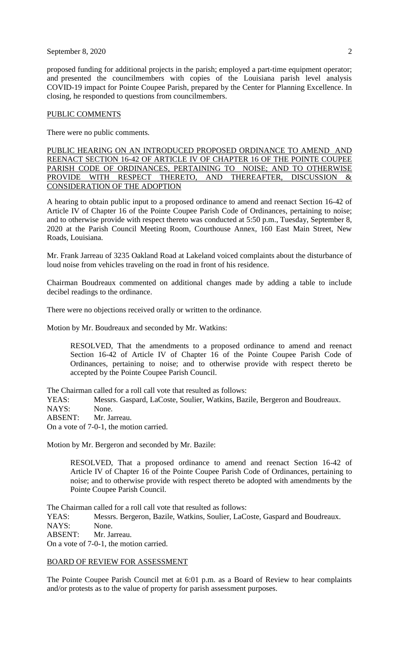### September 8, 2020 2

proposed funding for additional projects in the parish; employed a part-time equipment operator; and presented the councilmembers with copies of the Louisiana parish level analysis COVID-19 impact for Pointe Coupee Parish, prepared by the Center for Planning Excellence. In closing, he responded to questions from councilmembers.

#### PUBLIC COMMENTS

There were no public comments.

PUBLIC HEARING ON AN INTRODUCED PROPOSED ORDINANCE TO AMEND AND REENACT SECTION 16-42 OF ARTICLE IV OF CHAPTER 16 OF THE POINTE COUPEE PARISH CODE OF ORDINANCES, PERTAINING TO NOISE; AND TO OTHERWISE PROVIDE WITH RESPECT THERETO, AND THEREAFTER, DISCUSSION & CONSIDERATION OF THE ADOPTION

A hearing to obtain public input to a proposed ordinance to amend and reenact Section 16-42 of Article IV of Chapter 16 of the Pointe Coupee Parish Code of Ordinances, pertaining to noise; and to otherwise provide with respect thereto was conducted at 5:50 p.m., Tuesday, September 8, 2020 at the Parish Council Meeting Room, Courthouse Annex, 160 East Main Street, New Roads, Louisiana.

Mr. Frank Jarreau of 3235 Oakland Road at Lakeland voiced complaints about the disturbance of loud noise from vehicles traveling on the road in front of his residence.

Chairman Boudreaux commented on additional changes made by adding a table to include decibel readings to the ordinance.

There were no objections received orally or written to the ordinance.

Motion by Mr. Boudreaux and seconded by Mr. Watkins:

RESOLVED, That the amendments to a proposed ordinance to amend and reenact Section 16-42 of Article IV of Chapter 16 of the Pointe Coupee Parish Code of Ordinances, pertaining to noise; and to otherwise provide with respect thereto be accepted by the Pointe Coupee Parish Council.

The Chairman called for a roll call vote that resulted as follows:

YEAS: Messrs. Gaspard, LaCoste, Soulier, Watkins, Bazile, Bergeron and Boudreaux. NAYS: None.

ABSENT: Mr. Jarreau.

On a vote of 7-0-1, the motion carried.

Motion by Mr. Bergeron and seconded by Mr. Bazile:

RESOLVED, That a proposed ordinance to amend and reenact Section 16-42 of Article IV of Chapter 16 of the Pointe Coupee Parish Code of Ordinances, pertaining to noise; and to otherwise provide with respect thereto be adopted with amendments by the Pointe Coupee Parish Council.

The Chairman called for a roll call vote that resulted as follows:

YEAS: Messrs. Bergeron, Bazile, Watkins, Soulier, LaCoste, Gaspard and Boudreaux.

NAYS: None.

ABSENT: Mr. Jarreau.

On a vote of 7-0-1, the motion carried.

#### BOARD OF REVIEW FOR ASSESSMENT

The Pointe Coupee Parish Council met at 6:01 p.m. as a Board of Review to hear complaints and/or protests as to the value of property for parish assessment purposes.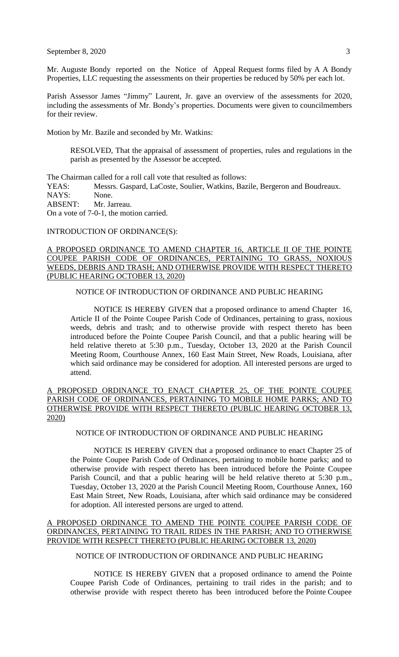Mr. Auguste Bondy reported on the Notice of Appeal Request forms filed by A A Bondy Properties, LLC requesting the assessments on their properties be reduced by 50% per each lot.

Parish Assessor James "Jimmy" Laurent, Jr. gave an overview of the assessments for 2020, including the assessments of Mr. Bondy's properties. Documents were given to councilmembers for their review.

Motion by Mr. Bazile and seconded by Mr. Watkins:

RESOLVED, That the appraisal of assessment of properties, rules and regulations in the parish as presented by the Assessor be accepted.

The Chairman called for a roll call vote that resulted as follows:

YEAS: Messrs. Gaspard, LaCoste, Soulier, Watkins, Bazile, Bergeron and Boudreaux. NAYS: None.

ABSENT: Mr. Jarreau.

On a vote of 7-0-1, the motion carried.

INTRODUCTION OF ORDINANCE(S):

## A PROPOSED ORDINANCE TO AMEND CHAPTER 16, ARTICLE II OF THE POINTE COUPEE PARISH CODE OF ORDINANCES, PERTAINING TO GRASS, NOXIOUS WEEDS, DEBRIS AND TRASH; AND OTHERWISE PROVIDE WITH RESPECT THERETO (PUBLIC HEARING OCTOBER 13, 2020)

### NOTICE OF INTRODUCTION OF ORDINANCE AND PUBLIC HEARING

NOTICE IS HEREBY GIVEN that a proposed ordinance to amend Chapter 16, Article II of the Pointe Coupee Parish Code of Ordinances, pertaining to grass, noxious weeds, debris and trash; and to otherwise provide with respect thereto has been introduced before the Pointe Coupee Parish Council, and that a public hearing will be held relative thereto at 5:30 p.m., Tuesday, October 13, 2020 at the Parish Council Meeting Room, Courthouse Annex, 160 East Main Street, New Roads, Louisiana, after which said ordinance may be considered for adoption. All interested persons are urged to attend.

# A PROPOSED ORDINANCE TO ENACT CHAPTER 25, OF THE POINTE COUPEE PARISH CODE OF ORDINANCES, PERTAINING TO MOBILE HOME PARKS; AND TO OTHERWISE PROVIDE WITH RESPECT THERETO (PUBLIC HEARING OCTOBER 13, 2020)

# NOTICE OF INTRODUCTION OF ORDINANCE AND PUBLIC HEARING

NOTICE IS HEREBY GIVEN that a proposed ordinance to enact Chapter 25 of the Pointe Coupee Parish Code of Ordinances, pertaining to mobile home parks; and to otherwise provide with respect thereto has been introduced before the Pointe Coupee Parish Council, and that a public hearing will be held relative thereto at 5:30 p.m., Tuesday, October 13, 2020 at the Parish Council Meeting Room, Courthouse Annex, 160 East Main Street, New Roads, Louisiana, after which said ordinance may be considered for adoption. All interested persons are urged to attend.

## A PROPOSED ORDINANCE TO AMEND THE POINTE COUPEE PARISH CODE OF ORDINANCES, PERTAINING TO TRAIL RIDES IN THE PARISH; AND TO OTHERWISE PROVIDE WITH RESPECT THERETO (PUBLIC HEARING OCTOBER 13, 2020)

# NOTICE OF INTRODUCTION OF ORDINANCE AND PUBLIC HEARING

NOTICE IS HEREBY GIVEN that a proposed ordinance to amend the Pointe Coupee Parish Code of Ordinances, pertaining to trail rides in the parish; and to otherwise provide with respect thereto has been introduced before the Pointe Coupee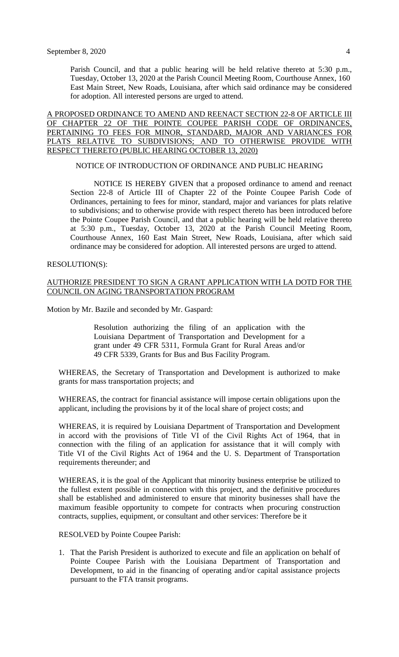Parish Council, and that a public hearing will be held relative thereto at 5:30 p.m., Tuesday, October 13, 2020 at the Parish Council Meeting Room, Courthouse Annex, 160 East Main Street, New Roads, Louisiana, after which said ordinance may be considered for adoption. All interested persons are urged to attend.

A PROPOSED ORDINANCE TO AMEND AND REENACT SECTION 22-8 OF ARTICLE III OF CHAPTER 22 OF THE POINTE COUPEE PARISH CODE OF ORDINANCES, PERTAINING TO FEES FOR MINOR, STANDARD, MAJOR AND VARIANCES FOR PLATS RELATIVE TO SUBDIVISIONS; AND TO OTHERWISE PROVIDE WITH RESPECT THERETO (PUBLIC HEARING OCTOBER 13, 2020)

#### NOTICE OF INTRODUCTION OF ORDINANCE AND PUBLIC HEARING

NOTICE IS HEREBY GIVEN that a proposed ordinance to amend and reenact Section 22-8 of Article III of Chapter 22 of the Pointe Coupee Parish Code of Ordinances, pertaining to fees for minor, standard, major and variances for plats relative to subdivisions; and to otherwise provide with respect thereto has been introduced before the Pointe Coupee Parish Council, and that a public hearing will be held relative thereto at 5:30 p.m., Tuesday, October 13, 2020 at the Parish Council Meeting Room, Courthouse Annex, 160 East Main Street, New Roads, Louisiana, after which said ordinance may be considered for adoption. All interested persons are urged to attend.

#### RESOLUTION(S):

## AUTHORIZE PRESIDENT TO SIGN A GRANT APPLICATION WITH LA DOTD FOR THE COUNCIL ON AGING TRANSPORTATION PROGRAM

Motion by Mr. Bazile and seconded by Mr. Gaspard:

Resolution authorizing the filing of an application with the Louisiana Department of Transportation and Development for a grant under 49 CFR 5311, Formula Grant for Rural Areas and/or 49 CFR 5339, Grants for Bus and Bus Facility Program.

WHEREAS, the Secretary of Transportation and Development is authorized to make grants for mass transportation projects; and

WHEREAS, the contract for financial assistance will impose certain obligations upon the applicant, including the provisions by it of the local share of project costs; and

WHEREAS, it is required by Louisiana Department of Transportation and Development in accord with the provisions of Title VI of the Civil Rights Act of 1964, that in connection with the filing of an application for assistance that it will comply with Title VI of the Civil Rights Act of 1964 and the U. S. Department of Transportation requirements thereunder; and

WHEREAS, it is the goal of the Applicant that minority business enterprise be utilized to the fullest extent possible in connection with this project, and the definitive procedures shall be established and administered to ensure that minority businesses shall have the maximum feasible opportunity to compete for contracts when procuring construction contracts, supplies, equipment, or consultant and other services: Therefore be it

RESOLVED by Pointe Coupee Parish:

1. That the Parish President is authorized to execute and file an application on behalf of Pointe Coupee Parish with the Louisiana Department of Transportation and Development, to aid in the financing of operating and/or capital assistance projects pursuant to the FTA transit programs.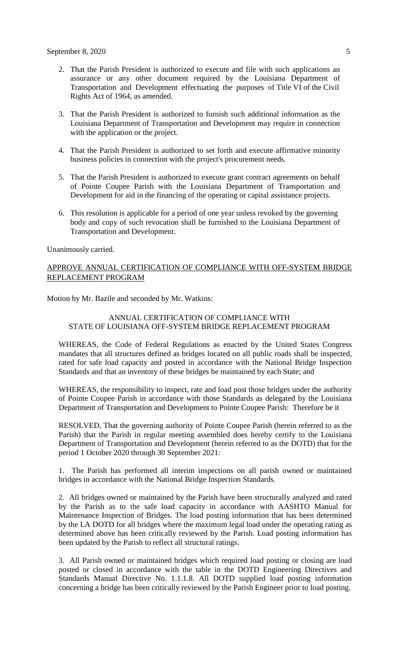- 2. That the Parish President is authorized to execute and file with such applications an assurance or any other document required by the Louisiana Department of Transportation and Development effectuating the purposes of Title VI of the Civil Rights Act of 1964, as amended.
- 3. That the Parish President is authorized to furnish such additional information as the Louisiana Department of Transportation and Development may require in connection with the application or the project.
- 4. That the Parish President is authorized to set forth and execute affirmative minority business policies in connection with the project's procurement needs.
- 5. That the Parish President is authorized to execute grant contract agreements on behalf of Pointe Coupee Parish with the Louisiana Department of Transportation and Development for aid in the financing of the operating or capital assistance projects.
- 6. This resolution is applicable for a period of one year unless revoked by the governing body and copy of such revocation shall be furnished to the Louisiana Department of Transportation and Development.

Unanimously carried.

# APPROVE ANNUAL CERTIFICATION OF COMPLIANCE WITH OFF-SYSTEM BRIDGE REPLACEMENT PROGRAM

Motion by Mr. Bazile and seconded by Mr. Watkins:

# ANNUAL CERTIFICATION OF COMPLIANCE WITH STATE OF LOUISIANA OFF-SYSTEM BRIDGE REPLACEMENT PROGRAM

WHEREAS, the Code of Federal Regulations as enacted by the United States Congress mandates that all structures defined as bridges located on all public roads shall be inspected, rated for safe load capacity and posted in accordance with the National Bridge Inspection Standards and that an inventory of these bridges be maintained by each State; and

WHEREAS, the responsibility to inspect, rate and load post those bridges under the authority of Pointe Coupee Parish in accordance with those Standards as delegated by the Louisiana Department of Transportation and Development to Pointe Coupee Parish: Therefore be it

RESOLVED, That the governing authority of Pointe Coupee Parish (herein referred to as the Parish) that the Parish in regular meeting assembled does hereby certify to the Louisiana Department of Transportation and Development (herein referred to as the DOTD) that for the period 1 October 2020 through 30 September 2021:

1. The Parish has performed all interim inspections on all parish owned or maintained bridges in accordance with the National Bridge Inspection Standards.

2. All bridges owned or maintained by the Parish have been structurally analyzed and rated by the Parish as to the safe load capacity in accordance with AASHTO Manual for Maintenance Inspection of Bridges. The load posting information that has been determined by the LA DOTD for all bridges where the maximum legal load under the operating rating as determined above has been critically reviewed by the Parish. Load posting information has been updated by the Parish to reflect all structural ratings.

3. All Parish owned or maintained bridges which required load posting or closing are load posted or closed in accordance with the table in the DOTD Engineering Directives and Standards Manual Directive No. 1.1.1.8. All DOTD supplied load posting information concerning a bridge has been critically reviewed by the Parish Engineer prior to load posting.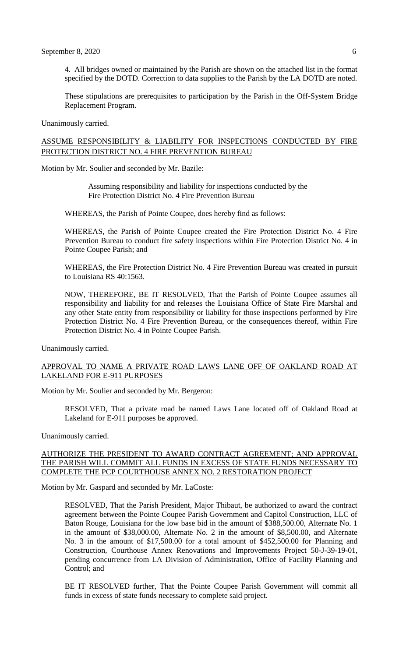4. All bridges owned or maintained by the Parish are shown on the attached list in the format specified by the DOTD. Correction to data supplies to the Parish by the LA DOTD are noted.

These stipulations are prerequisites to participation by the Parish in the Off-System Bridge Replacement Program.

Unanimously carried.

# ASSUME RESPONSIBILITY & LIABILITY FOR INSPECTIONS CONDUCTED BY FIRE PROTECTION DISTRICT NO. 4 FIRE PREVENTION BUREAU

Motion by Mr. Soulier and seconded by Mr. Bazile:

Assuming responsibility and liability for inspections conducted by the Fire Protection District No. 4 Fire Prevention Bureau

WHEREAS, the Parish of Pointe Coupee, does hereby find as follows:

WHEREAS, the Parish of Pointe Coupee created the Fire Protection District No. 4 Fire Prevention Bureau to conduct fire safety inspections within Fire Protection District No. 4 in Pointe Coupee Parish; and

WHEREAS, the Fire Protection District No. 4 Fire Prevention Bureau was created in pursuit to Louisiana RS 40:1563.

NOW, THEREFORE, BE IT RESOLVED, That the Parish of Pointe Coupee assumes all responsibility and liability for and releases the Louisiana Office of State Fire Marshal and any other State entity from responsibility or liability for those inspections performed by Fire Protection District No. 4 Fire Prevention Bureau, or the consequences thereof, within Fire Protection District No. 4 in Pointe Coupee Parish.

Unanimously carried.

## APPROVAL TO NAME A PRIVATE ROAD LAWS LANE OFF OF OAKLAND ROAD AT LAKELAND FOR E-911 PURPOSES

Motion by Mr. Soulier and seconded by Mr. Bergeron:

RESOLVED, That a private road be named Laws Lane located off of Oakland Road at Lakeland for E-911 purposes be approved.

Unanimously carried.

## AUTHORIZE THE PRESIDENT TO AWARD CONTRACT AGREEMENT; AND APPROVAL THE PARISH WILL COMMIT ALL FUNDS IN EXCESS OF STATE FUNDS NECESSARY TO COMPLETE THE PCP COURTHOUSE ANNEX NO. 2 RESTORATION PROJECT

Motion by Mr. Gaspard and seconded by Mr. LaCoste:

RESOLVED, That the Parish President, Major Thibaut, be authorized to award the contract agreement between the Pointe Coupee Parish Government and Capitol Construction, LLC of Baton Rouge, Louisiana for the low base bid in the amount of \$388,500.00, Alternate No. 1 in the amount of \$38,000.00, Alternate No. 2 in the amount of \$8,500.00, and Alternate No. 3 in the amount of \$17,500.00 for a total amount of \$452,500.00 for Planning and Construction, Courthouse Annex Renovations and Improvements Project 50-J-39-19-01, pending concurrence from LA Division of Administration, Office of Facility Planning and Control; and

BE IT RESOLVED further, That the Pointe Coupee Parish Government will commit all funds in excess of state funds necessary to complete said project.